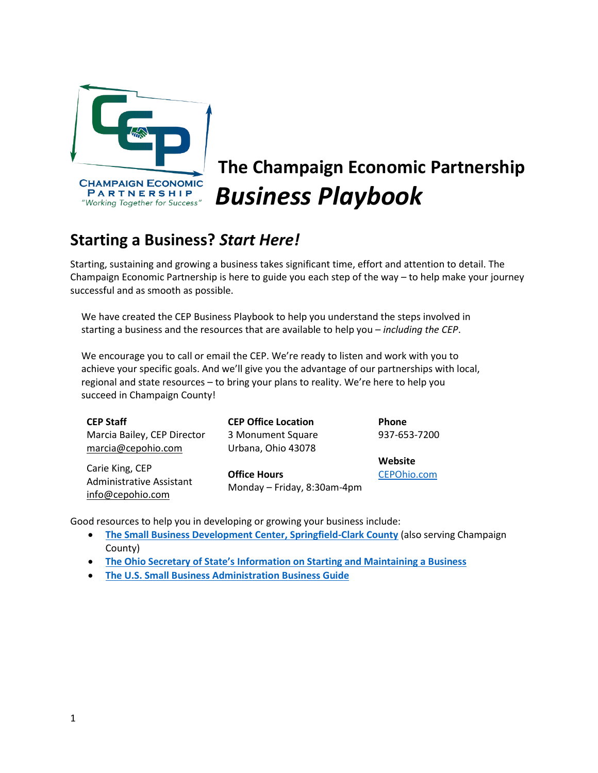

# **The Champaign Economic Partnership** *Business Playbook*

## **Starting a Business?** *Start Here!*

Starting, sustaining and growing a business takes significant time, effort and attention to detail. The Champaign Economic Partnership is here to guide you each step of the way – to help make your journey successful and as smooth as possible.

We have created the CEP Business Playbook to help you understand the steps involved in starting a business and the resources that are available to help you – *including the CEP*.

We encourage you to call or email the CEP. We're ready to listen and work with you to achieve your specific goals. And we'll give you the advantage of our partnerships with local, regional and state resources – to bring your plans to reality. We're here to help you succeed in Champaign County!

| <b>CEP Staff</b>                                                | <b>CEP Office Location</b>                         | <b>Phone</b>           |
|-----------------------------------------------------------------|----------------------------------------------------|------------------------|
| Marcia Bailey, CEP Director                                     | 3 Monument Square                                  | 937-653-7200           |
| marcia@cepohio.com                                              | Urbana, Ohio 43078                                 |                        |
| Carie King, CEP<br>Administrative Assistant<br>info@cepohio.com | <b>Office Hours</b><br>Monday - Friday, 8:30am-4pm | Website<br>CEPOhio.com |

Good resources to help you in developing or growing your business include:

- **[The Small Business Development Center, Springfield-Clark County](https://springfieldsbdc.com/)** (also serving Champaign County)
- **[The Ohio Secretary of State's Information on Starting and Maintaining a Business](https://www.sos.state.oh.us/businesses/information-on-starting-and-maintaining-a-business/starting-a-business/)**
- **[The U.S. Small Business Administration Business Guide](https://www.sba.gov/business-guide/)**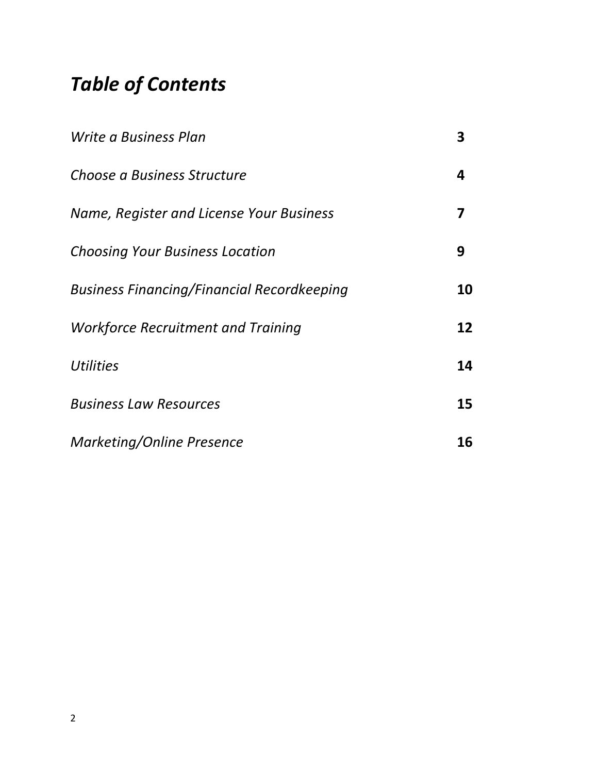# *Table of Contents*

| Write a Business Plan                             | 3  |
|---------------------------------------------------|----|
| Choose a Business Structure                       | 4  |
| Name, Register and License Your Business          | 7  |
| <b>Choosing Your Business Location</b>            | 9  |
| <b>Business Financing/Financial Recordkeeping</b> | 10 |
| <b>Workforce Recruitment and Training</b>         | 12 |
| <b>Utilities</b>                                  | 14 |
| <b>Business Law Resources</b>                     | 15 |
| <b>Marketing/Online Presence</b>                  | 16 |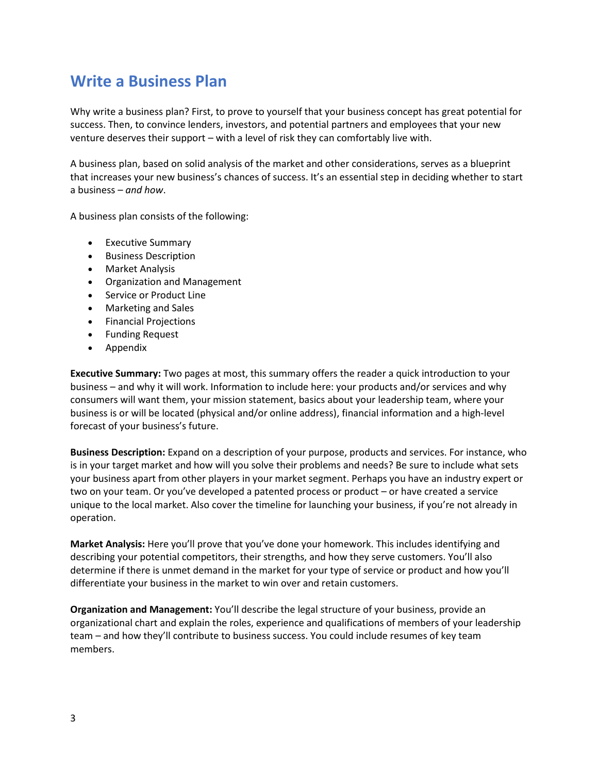## **Write a Business Plan**

Why write a business plan? First, to prove to yourself that your business concept has great potential for success. Then, to convince lenders, investors, and potential partners and employees that your new venture deserves their support – with a level of risk they can comfortably live with.

A business plan, based on solid analysis of the market and other considerations, serves as a blueprint that increases your new business's chances of success. It's an essential step in deciding whether to start a business – *and how*.

A business plan consists of the following:

- Executive Summary
- Business Description
- Market Analysis
- Organization and Management
- Service or Product Line
- Marketing and Sales
- Financial Projections
- Funding Request
- Appendix

**Executive Summary:** Two pages at most, this summary offers the reader a quick introduction to your business – and why it will work. Information to include here: your products and/or services and why consumers will want them, your mission statement, basics about your leadership team, where your business is or will be located (physical and/or online address), financial information and a high-level forecast of your business's future.

**Business Description:** Expand on a description of your purpose, products and services. For instance, who is in your target market and how will you solve their problems and needs? Be sure to include what sets your business apart from other players in your market segment. Perhaps you have an industry expert or two on your team. Or you've developed a patented process or product – or have created a service unique to the local market. Also cover the timeline for launching your business, if you're not already in operation.

**Market Analysis:** Here you'll prove that you've done your homework. This includes identifying and describing your potential competitors, their strengths, and how they serve customers. You'll also determine if there is unmet demand in the market for your type of service or product and how you'll differentiate your business in the market to win over and retain customers.

**Organization and Management:** You'll describe the legal structure of your business, provide an organizational chart and explain the roles, experience and qualifications of members of your leadership team – and how they'll contribute to business success. You could include resumes of key team members.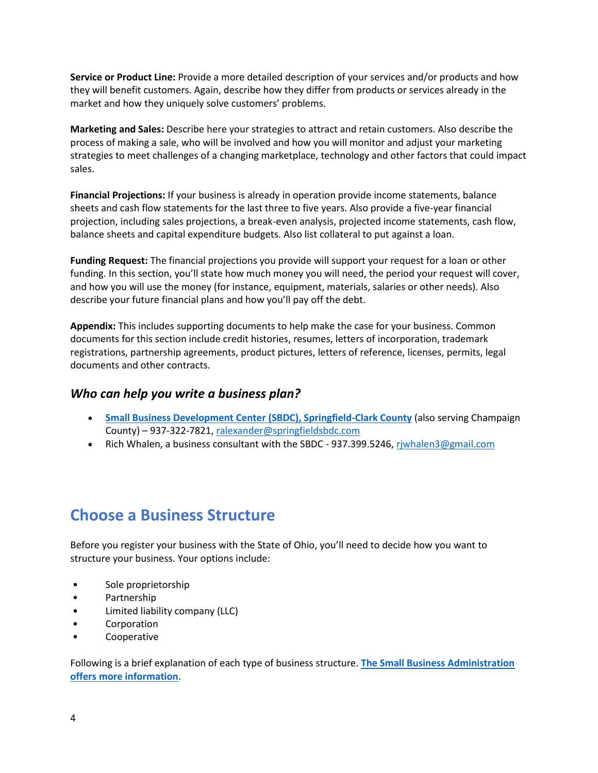**Service or Product Line:** Provide a more detailed description of your services and/or products and how they will benefit customers. Again, describe how they differ from products or services already in the market and how they uniquely solve customers' problems.

**Marketing and Sales:** Describe here your strategies to attract and retain customers. Also describe the process of making a sale, who will be involved and how you will monitor and adjust your marketing strategies to meet challenges of a changing marketplace, technology and other factors that could impact sales.

**Financial Projections:** If your business is already in operation provide income statements, balance sheets and cash flow statements for the last three to five years. Also provide a five-year financial projection, including sales projections, a break-even analysis, projected income statements, cash flow, balance sheets and capital expenditure budgets. Also list collateral to put against a loan.

**Funding Request:** The financial projections you provide will support your request for a loan or other funding. In this section, you'll state how much money you will need, the period your request will cover, and how you will use the money (for instance, equipment, materials, salaries or other needs). Also describe your future financial plans and how you'll pay off the debt.

**Appendix:** This includes supporting documents to help make the case for your business. Common documents for this section include credit histories, resumes, letters of incorporation, trademark registrations, partnership agreements, product pictures, letters of reference, licenses, permits, legal documents and other contracts.

### *Who can help you write a business plan?*

- **[Small Business Development Center](http://springfieldsbdc.com/) (SBDC), Springfield-Clark County** (also serving Champaign County) – 937-322-7821[, ralexander@springfieldsbdc.com](mailto:ralexander@springfieldsbdc.com)
- Rich Whalen, a business consultant with the SBDC 937.399.5246, [rjwhalen3@gmail.com](mailto:rjwhalen3@gmail.com)

## **Choose a Business Structure**

Before you register your business with the State of Ohio, you'll need to decide how you want to structure your business. Your options include:

- Sole proprietorship
- Partnership
- Limited liability company (LLC)
- Corporation
- Cooperative

Following is a brief explanation of each type of business structure. **[The Small Business Administration](https://www.sba.gov/business-guide/launch/choose-business-structure-types-chart)  [offers more information](https://www.sba.gov/business-guide/launch/choose-business-structure-types-chart)**.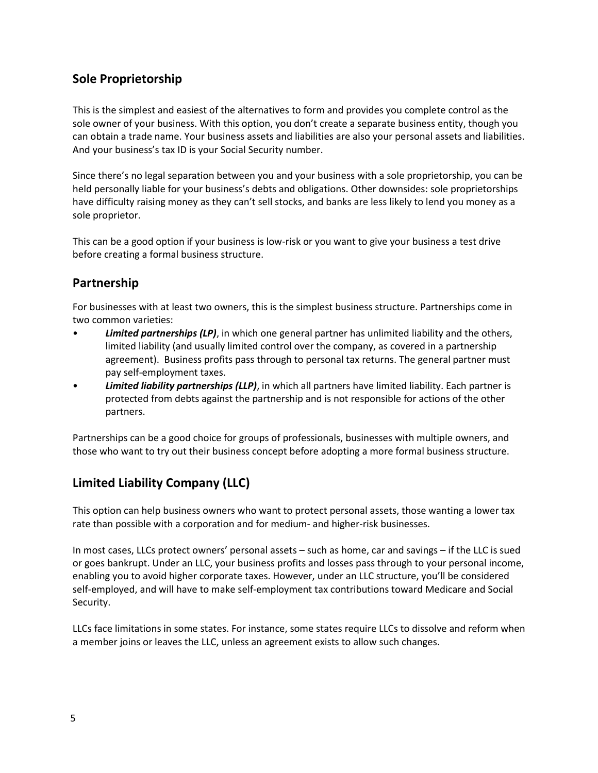## **Sole Proprietorship**

This is the simplest and easiest of the alternatives to form and provides you complete control as the sole owner of your business. With this option, you don't create a separate business entity, though you can obtain a trade name. Your business assets and liabilities are also your personal assets and liabilities. And your business's tax ID is your Social Security number.

Since there's no legal separation between you and your business with a sole proprietorship, you can be held personally liable for your business's debts and obligations. Other downsides: sole proprietorships have difficulty raising money as they can't sell stocks, and banks are less likely to lend you money as a sole proprietor.

This can be a good option if your business is low-risk or you want to give your business a test drive before creating a formal business structure.

## **Partnership**

For businesses with at least two owners, this is the simplest business structure. Partnerships come in two common varieties:

- *Limited partnerships (LP)*, in which one general partner has unlimited liability and the others, limited liability (and usually limited control over the company, as covered in a partnership agreement). Business profits pass through to personal tax returns. The general partner must pay self-employment taxes.
- *Limited liability partnerships (LLP)*, in which all partners have limited liability. Each partner is protected from debts against the partnership and is not responsible for actions of the other partners.

Partnerships can be a good choice for groups of professionals, businesses with multiple owners, and those who want to try out their business concept before adopting a more formal business structure.

## **Limited Liability Company (LLC)**

This option can help business owners who want to protect personal assets, those wanting a lower tax rate than possible with a corporation and for medium- and higher-risk businesses.

In most cases, LLCs protect owners' personal assets – such as home, car and savings – if the LLC is sued or goes bankrupt. Under an LLC, your business profits and losses pass through to your personal income, enabling you to avoid higher corporate taxes. However, under an LLC structure, you'll be considered self-employed, and will have to make self-employment tax contributions toward Medicare and Social Security.

LLCs face limitations in some states. For instance, some states require LLCs to dissolve and reform when a member joins or leaves the LLC, unless an agreement exists to allow such changes.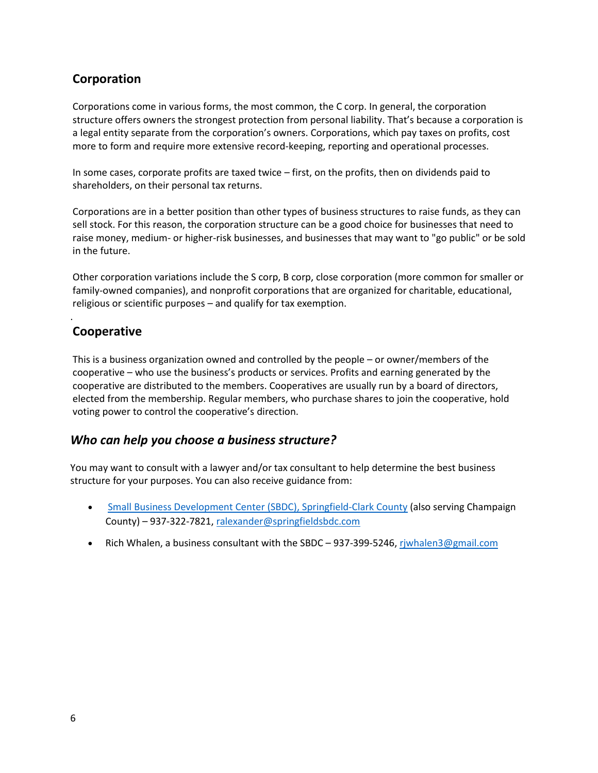## **Corporation**

Corporations come in various forms, the most common, the C corp. In general, the corporation structure offers owners the strongest protection from personal liability. That's because a corporation is a legal entity separate from the corporation's owners. Corporations, which pay taxes on profits, cost more to form and require more extensive record-keeping, reporting and operational processes.

In some cases, corporate profits are taxed twice – first, on the profits, then on dividends paid to shareholders, on their personal tax returns.

Corporations are in a better position than other types of business structures to raise funds, as they can sell stock. For this reason, the corporation structure can be a good choice for businesses that need to raise money, medium- or higher-risk businesses, and businesses that may want to "go public" or be sold in the future.

Other corporation variations include the S corp, B corp, close corporation (more common for smaller or family-owned companies), and nonprofit corporations that are organized for charitable, educational, religious or scientific purposes – and qualify for tax exemption.

## **Cooperative**

.

This is a business organization owned and controlled by the people – or owner/members of the cooperative – who use the business's products or services. Profits and earning generated by the cooperative are distributed to the members. Cooperatives are usually run by a board of directors, elected from the membership. Regular members, who purchase shares to join the cooperative, hold voting power to control the cooperative's direction.

## *Who can help you choose a business structure?*

You may want to consult with a lawyer and/or tax consultant to help determine the best business structure for your purposes. You can also receive guidance from:

- [Small Business Development Center](http://springfieldsbdc.com/) (SBDC), Springfield-Clark County (also serving Champaign County) – 937-322-7821[, ralexander@springfieldsbdc.com](mailto:ralexander@springfieldsbdc.com)
- Rich Whalen, a business consultant with the SBDC 937-399-5246, riwhalen3@gmail.com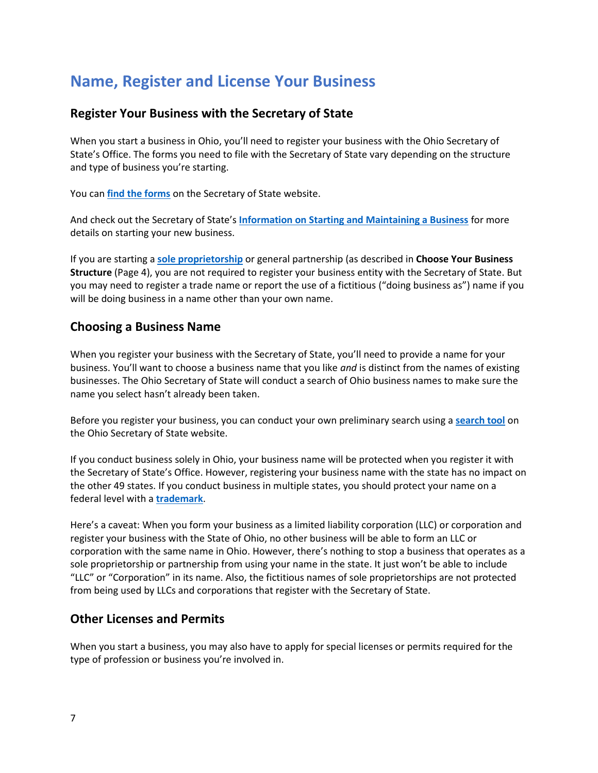## **Name, Register and License Your Business**

## **Register Your Business with the Secretary of State**

When you start a business in Ohio, you'll need to register your business with the Ohio Secretary of State's Office. The forms you need to file with the Secretary of State vary depending on the structure and type of business you're starting.

You can **[find the forms](https://www.sos.state.oh.us/businesses/filing-forms--fee-schedule/#gref)** on the Secretary of State website.

And check out the Secretary of State's **[Information on Starting and Maintaining a Business](https://www.sos.state.oh.us/businesses/information-on-starting-and-maintaining-a-business/)** for more details on starting your new business.

If you are starting a **[sole proprietorship](https://www.sos.state.oh.us/globalassets/publications/busserv/soleprop.pdf)** or general partnership (as described in **Choose Your Business Structure** (Page 4), you are not required to register your business entity with the Secretary of State. But you may need to register a trade name or report the use of a fictitious ("doing business as") name if you will be doing business in a name other than your own name.

### **Choosing a Business Name**

When you register your business with the Secretary of State, you'll need to provide a name for your business. You'll want to choose a business name that you like *and* is distinct from the names of existing businesses. The Ohio Secretary of State will conduct a search of Ohio business names to make sure the name you select hasn't already been taken.

Before you register your business, you can conduct your own preliminary search using a **[search tool](https://businesssearch.sos.state.oh.us/)** on the Ohio Secretary of State website.

If you conduct business solely in Ohio, your business name will be protected when you register it with the Secretary of State's Office. However, registering your business name with the state has no impact on the other 49 states. If you conduct business in multiple states, you should protect your name on a federal level with a **[trademark](https://www.uspto.gov/trademark)**.

Here's a caveat: When you form your business as a limited liability corporation (LLC) or corporation and register your business with the State of Ohio, no other business will be able to form an LLC or corporation with the same name in Ohio. However, there's nothing to stop a business that operates as a sole proprietorship or partnership from using your name in the state. It just won't be able to include "LLC" or "Corporation" in its name. Also, the fictitious names of sole proprietorships are not protected from being used by LLCs and corporations that register with the Secretary of State.

### **Other Licenses and Permits**

When you start a business, you may also have to apply for special licenses or permits required for the type of profession or business you're involved in.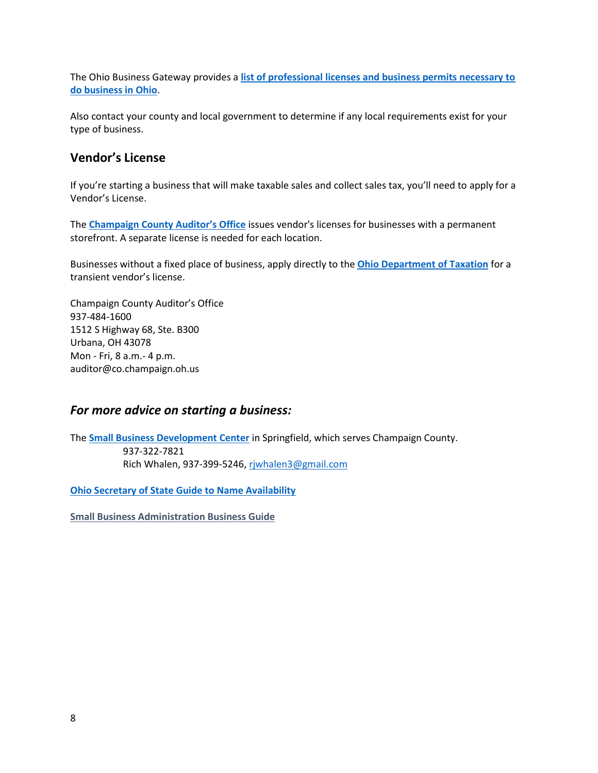The Ohio Business Gateway provides a **[list of professional licenses and business permits necessary to](https://business.ohio.gov/wps/portal/gateway/business/manage/licenses%26permits/!ut/p/z1/jZBLD4IwEIR_DVd2AUPAGxrxGSoxCPZiwNTSBFpDkd9vE08GX3vbyTcz2QUKBVBZDoKXvVCybMx-ov4Zo_V6FQaYLJ0YMUr8A1kcZ4iZC_krQLLEN8A2PoSB65C5C_Qv_4eJ8E__Z4B-j8-BvlaQHcYmIU03HvGc5WQyAsYn_irZAOWNqp7_jGTlBRxox66sY51974xc9_1NTy20sLprIZnWtqqFsrkaLGzEhUmjcgvfBdRK91CMfHBrs6xAsW_zQD8A89Dh9A!!/dz/d5/L2dBISEvZ0FBIS9nQSEh/)  [do business in Ohio](https://business.ohio.gov/wps/portal/gateway/business/manage/licenses%26permits/!ut/p/z1/jZBLD4IwEIR_DVd2AUPAGxrxGSoxCPZiwNTSBFpDkd9vE08GX3vbyTcz2QUKBVBZDoKXvVCybMx-ov4Zo_V6FQaYLJ0YMUr8A1kcZ4iZC_krQLLEN8A2PoSB65C5C_Qv_4eJ8E__Z4B-j8-BvlaQHcYmIU03HvGc5WQyAsYn_irZAOWNqp7_jGTlBRxox66sY51974xc9_1NTy20sLprIZnWtqqFsrkaLGzEhUmjcgvfBdRK91CMfHBrs6xAsW_zQD8A89Dh9A!!/dz/d5/L2dBISEvZ0FBIS9nQSEh/)**.

Also contact your county and local government to determine if any local requirements exist for your type of business.

## **Vendor's License**

If you're starting a business that will make taxable sales and collect sales tax, you'll need to apply for a Vendor's License.

The **[Champaign County Auditor's Office](https://champaignoh.ddti.net/)** issues vendor's licenses for businesses with a permanent storefront. A separate license is needed for each location.

Businesses without a fixed place of business, apply directly to the **[Ohio Department of Taxation](https://www.tax.ohio.gov/sales_and_use/registration.aspx)** for a transient vendor's license.

Champaign County Auditor's Office 937-484-1600 1512 S Highway 68, Ste. B300 Urbana, OH 43078 Mon - Fri, 8 a.m.- 4 p.m. [auditor@co.champaign.oh.us](mailto:auditor@co.champaign.oh.us)

### *For more advice on starting a business:*

The **[Small Business Development Center](http://springfieldsbdc.com/)** in Springfield, which serves Champaign County.

937-322-7821 Rich Whalen, 937-399-5246, [rjwhalen3@gmail.com](mailto:rjwhalen3@gmail.com)

**[Ohio Secretary of State Guide to Name Availability](https://www.sos.state.oh.us/businesses/information-on-starting-and-maintaining-a-business/guide-to-name-availability/)**

**[Small Business Administration Business Guide](https://www.sba.gov/business-guide/)**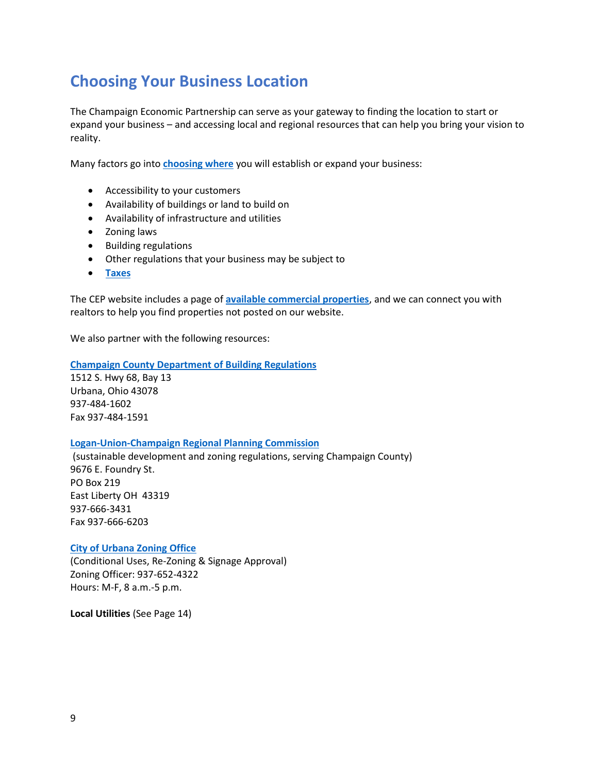## **Choosing Your Business Location**

The Champaign Economic Partnership can serve as your gateway to finding the location to start or expand your business – and accessing local and regional resources that can help you bring your vision to reality.

Many factors go into **[choosing where](https://www.sba.gov/business-guide/launch/pick-your-business-location-zoning-laws)** you will establish or expand your business:

- Accessibility to your customers
- Availability of buildings or land to build on
- Availability of infrastructure and utilities
- Zoning laws
- Building regulations
- Other regulations that your business may be subject to
- **[Taxes](http://www.cepohio.com/financial-incentives.html)**

The CEP website includes a page of **[available commercial properties](http://www.cepohio.com/available-properties.html)**, and we can connect you with realtors to help you find properties not posted on our website.

We also partner with the following resources:

#### **[Champaign County Department of Building Regulations](https://www.champaigncobd.com/)**

1512 S. Hwy 68, Bay 13 Urbana, Ohio 43078 937-484-1602 Fax 937-484-1591

#### **[Logan-Union-Champaign Regional Planning Commission](https://www.lucplanning.com/champaign-county-villages)**

(sustainable development and zoning regulations, serving Champaign County) 9676 E. Foundry St. PO Box 219 East Liberty OH 43319 937-666-3431 Fax 937-666-6203

#### **[City of Urbana Zoning Office](https://www.urbanaohio.com/zoning.html)**

(Conditional Uses, Re-Zoning & Signage Approval) Zoning Officer: 937-652-4322 Hours: M-F, 8 a.m.-5 p.m.

**Local Utilities** (See Page 14)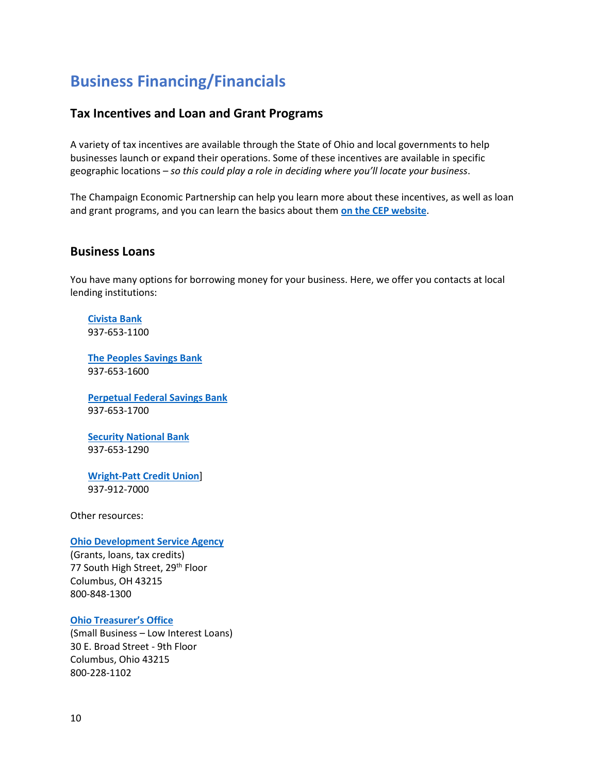## **Business Financing/Financials**

## **Tax Incentives and Loan and Grant Programs**

A variety of tax incentives are available through the State of Ohio and local governments to help businesses launch or expand their operations. Some of these incentives are available in specific geographic locations – *so this could play a role in deciding where you'll locate your business*.

The Champaign Economic Partnership can help you learn more about these incentives, as well as loan and grant programs, and you can learn the basics about them **[on the CEP website](http://www.cepohio.com/financial-incentives.html)**.

#### **Business Loans**

You have many options for borrowing money for your business. Here, we offer you contacts at local lending institutions:

**[Civista Bank](https://www.civistabank.com/)** 937-653-1100

**[The Peoples Savings Bank](https://www.thepeoplessavingsbank.com/)** 937-653-1600

**[Perpetual Federal Savings Bank](https://www.pfsb-urbana.com/)** 937-653-1700

**[Security National Bank](https://securitynationalbank.com/)** 937-653-1290

**[Wright-Patt Credit Union](https://www.wpcu.coop/)**] 937-912-7000

Other resources:

**Ohio [Development Service Agency](https://development.ohio.gov/bs/bs_busgrantsloans.htm)**

(Grants, loans, tax credits) 77 South High Street, 29<sup>th</sup> Floor Columbus, OH 43215 800-848-1300

#### **[Ohio Treasurer's Office](http://www.tos.ohio.gov/grownow)**

(Small Business – Low Interest Loans) 30 E. Broad Street - 9th Floor Columbus, Ohio 43215 800-228-1102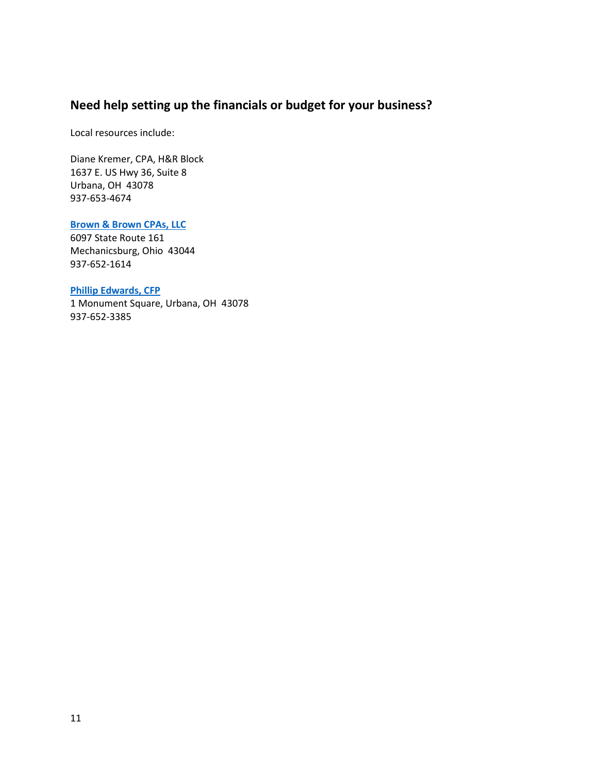## **Need help setting up the financials or budget for your business?**

Local resources include:

Diane Kremer, CPA, H&R Block 1637 E. US Hwy 36, Suite 8 Urbana, OH 43078 937-653-4674

#### **[Brown & Brown CPAs, LLC](http://www.brownandbrowncpas.com/_index.php)**

6097 State Route 161 Mechanicsburg, Ohio 43044 937-652-1614

#### **[Phillip Edwards, CFP](http://www.phillipedwards.com/)**

1 Monument Square, Urbana, OH 43078 937-652-3385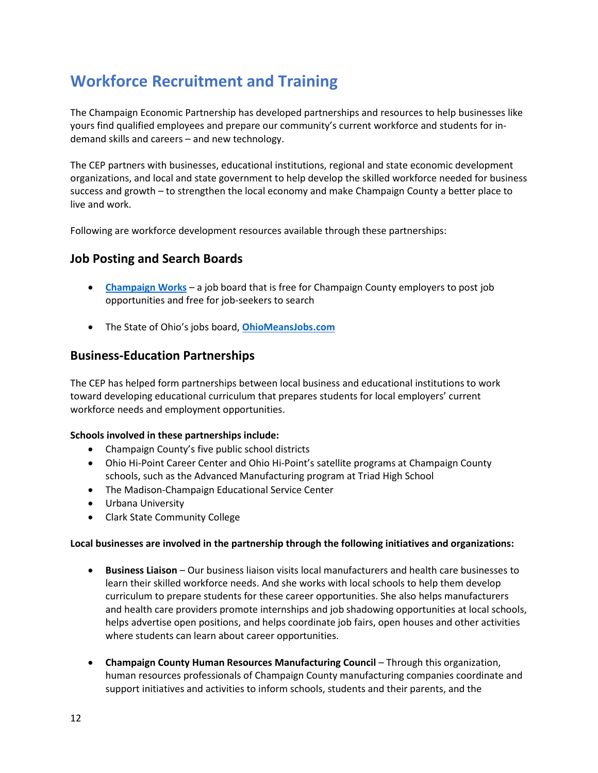## **Workforce Recruitment and Training**

The Champaign Economic Partnership has developed partnerships and resources to help businesses like yours find qualified employees and prepare our community's current workforce and students for indemand skills and careers – and new technology.

The CEP partners with businesses, educational institutions, regional and state economic development organizations, and local and state government to help develop the skilled workforce needed for business success and growth – to strengthen the local economy and make Champaign County a better place to live and work.

Following are workforce development resources available through these partnerships:

## **Job Posting and Search Boards**

- **[Champaign](https://www.champaignworks.com/) Works** a job board that is free for Champaign County employers to post job opportunities and free for job-seekers to search
- The State of Ohio's jobs board, **[OhioMeansJobs.com](https://jobseeker.ohiomeansjobs.monster.com/)**

### **Business-Education Partnerships**

The CEP has helped form partnerships between local business and educational institutions to work toward developing educational curriculum that prepares students for local employers' current workforce needs and employment opportunities.

#### **Schools involved in these partnerships include:**

- Champaign County's five public school districts
- Ohio Hi-Point Career Center and Ohio Hi-Point's satellite programs at Champaign County schools, such as the Advanced Manufacturing program at Triad High School
- The Madison-Champaign Educational Service Center
- Urbana University
- Clark State Community College

#### **Local businesses are involved in the partnership through the following initiatives and organizations:**

- **Business Liaison** Our business liaison visits local manufacturers and health care businesses to learn their skilled workforce needs. And she works with local schools to help them develop curriculum to prepare students for these career opportunities. She also helps manufacturers and health care providers promote internships and job shadowing opportunities at local schools, helps advertise open positions, and helps coordinate job fairs, open houses and other activities where students can learn about career opportunities.
- **Champaign County Human Resources Manufacturing Council** Through this organization, human resources professionals of Champaign County manufacturing companies coordinate and support initiatives and activities to inform schools, students and their parents, and the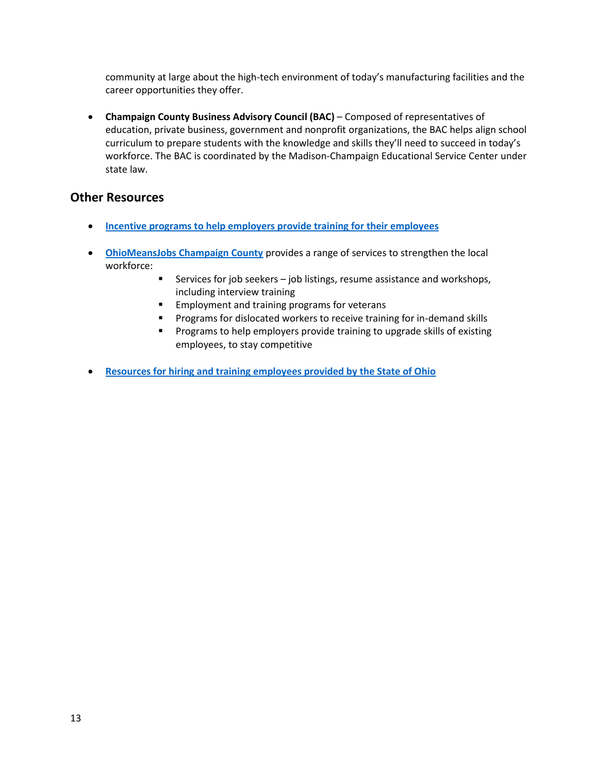community at large about the high-tech environment of today's manufacturing facilities and the career opportunities they offer.

• **Champaign County Business Advisory Council (BAC)** – Composed of representatives of education, private business, government and nonprofit organizations, the BAC helps align school curriculum to prepare students with the knowledge and skills they'll need to succeed in today's workforce. The BAC is coordinated by the Madison-Champaign Educational Service Center under state law.

## **Other Resources**

- **[Incentive programs to help employers provide training for their employees](http://www.cepohio.com/training-incentives.html)**
- **[OhioMeansJobs Champaign County](http://www.champaigndjfs.org/omjcc/)** provides a range of services to strengthen the local workforce:
	- Services for job seekers job listings, resume assistance and workshops, including interview training
	- Employment and training programs for veterans
	- Programs for dislocated workers to receive training for in-demand skills
	- Programs to help employers provide training to upgrade skills of existing employees, to stay competitive
- **[Resources for hiring and training employees provided by the State of Ohio](https://business.ohio.gov/wps/portal/gateway/business/grow/hire%26train/!ut/p/z1/rVNNc5swEP0rvXC0tUBNcG_Q1gbsmKYUEnTJgC0EtpEw4iPOr688PmSCm7ozri4a6a3e2923Qhg9IcySrqBJU3CW7OU5xsYzWK7rTE1YzdUZgLUyAv97ZMMcDPT4PsAPV4YMWMyCqamp_lcd4XfwEmYSfnjwdF9X55p28f4iAN-kr_2j_gfLgmvvIxTbKO4dj7jWMJnLbPHftR4RHuhdlnONw0OY7nl69s5iqW5ShGuSkZrU47aW13nTVOKLAgqkrSgYEWLM84KPKe8U6CuhQMXrJtkrIMeA9MnxLVCBnJfkT8w5Fw16uiBEsWzJ3VtBEEaygdF8GSzvPM1cSAO6gvQoZLwuZc7BqcBqXWxQTF_EsS_paNsdWsEp77dCZO2m2uUJFYKXm12XIweGCmbgnBRczfcjXYMAblQYFmCspmDNJoHuBlNtYX_-v_TmvW1Lw38Ev6yfhho6xo303rX_I60stocDthBec9aQF-ni2f5PomiIAq8fT1sCZzgpilyyM94yAxK2y8RpWvlaG8B7yCR8OGx1rqtUG8BUzSQlMwQnXQpU5laVoVzsONpl980kndDy-Zu9GsVe9yo3HP8GfNuGwA!!/dz/d5/L2dBISEvZ0FBIS9nQSEh/)**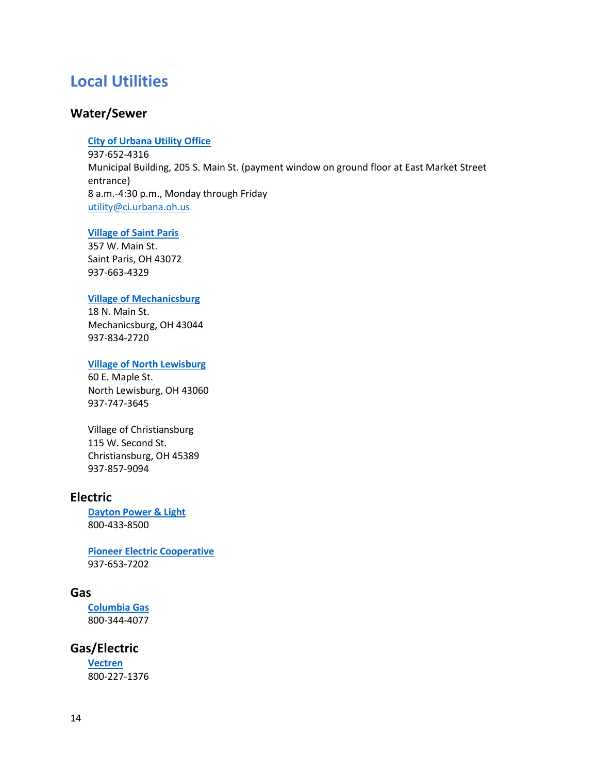## **Local Utilities**

### **Water/Sewer**

#### **[City of Urbana](https://www.urbanaohio.com/utility-billing2.html) Utility Office**

937-652-4316 Municipal Building, 205 S. Main St. (payment window on ground floor at East Market Street entrance) 8 a.m.-4:30 p.m., Monday through Friday [utility@ci.urbana.oh.us](mailto:utility@ci.urbana.oh.us)

#### **[Village of Saint Paris](https://www.stparisohio.org/)**

357 W. Main St. Saint Paris, OH 43072 937-663-4329

#### **[Village of Mechanicsburg](https://www.mechanicsburgvillage.com/)**

18 N. Main St. Mechanicsburg, OH 43044 937-834-2720

#### **[Village of North Lewisburg](http://nlbohio.com/)**

60 E. Maple St. North Lewisburg, OH 43060 937-747-3645

Village of Christiansburg 115 W. Second St. Christiansburg, OH 45389 937-857-9094

### **Electric**

**[Dayton Power &](http://www.waytogo.com/) Light** 800-433-8500

**[Pioneer Electric](http://www.pioneerec.com/) Cooperative** 937-653-7202

#### **Gas**

**[Columbia Gas](http://www.columbiagasohio.com/)** 800-344-4077

## **Gas/Electric**

**[Vectren](http://www.vectren.com/)** 800-227-1376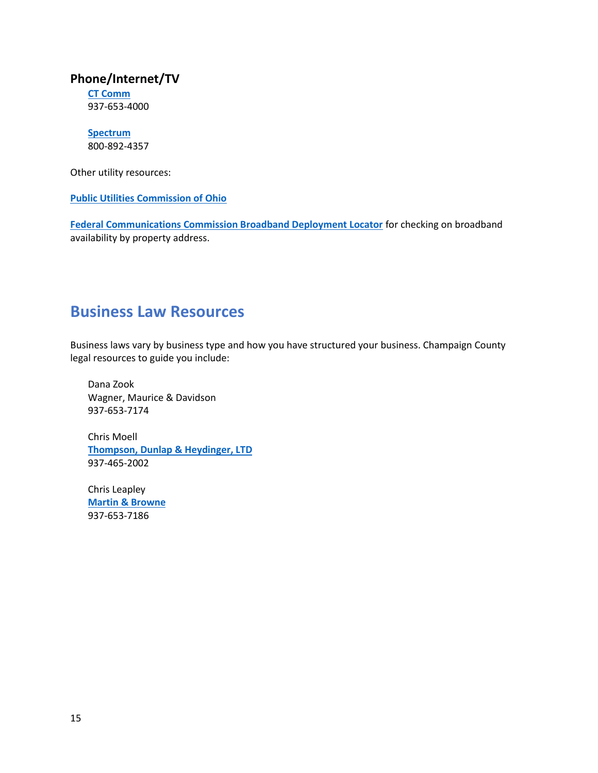## **Phone/Internet/TV**

**[CT Comm](https://ctcomm.net/)** 937-653-4000

#### **[Spectrum](https://www.spectrum.com/services/ohio/urbana-city)** 800-892-4357

Other utility resources:

**[Public Utilities Commission of Ohio](https://www.puco.ohio.gov/)**

**[Federal Communications Commission Broadband Deployment Locator](https://broadbandmap.fcc.gov/#/)** for checking on broadband availability by property address.

## **Business Law Resources**

Business laws vary by business type and how you have structured your business. Champaign County legal resources to guide you include:

Dana Zook Wagner, Maurice & Davidson [93](mailto:dana_zook@ctcn.net)7-653-7174

Chris Moell **[Thompson, Dunlap & Heydinger, LTD](http://tdhlaw.com/)** 937-465-2002

Chris Leapley **[Martin & Browne](http://martinbrowne.com/)** 937-653-7186